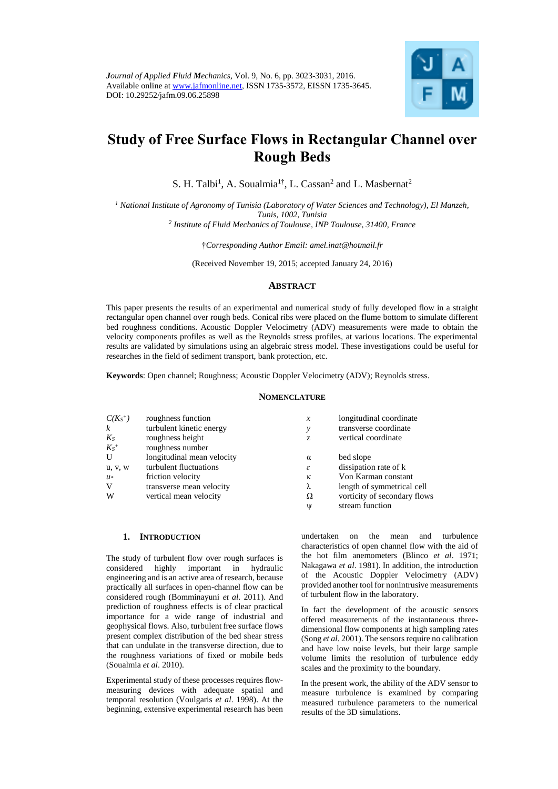

# **Study of Free Surface Flows in Rectangular Channel over Rough Beds**

S. H. Talbi<sup>1</sup>, A. Soualmia<sup>1†</sup>, L. Cassan<sup>2</sup> and L. Masbernat<sup>2</sup>

*<sup>1</sup> National Institute of Agronomy of Tunisia (Laboratory of Water Sciences and Technology), El Manzeh, Tunis, 1002, Tunisia 2 Institute of Fluid Mechanics of Toulouse, INP Toulouse, 31400, France*

†*Corresponding Author Email: [amel.inat@hotmail.fr](mailto:amel.inat@hotmail.fr)*

(Received November 19, 2015; accepted January 24, 2016)

## **ABSTRACT**

This paper presents the results of an experimental and numerical study of fully developed flow in a straight rectangular open channel over rough beds. Conical ribs were placed on the flume bottom to simulate different bed roughness conditions. Acoustic Doppler Velocimetry (ADV) measurements were made to obtain the velocity components profiles as well as the Reynolds stress profiles, at various locations. The experimental results are validated by simulations using an algebraic stress model. These investigations could be useful for researches in the field of sediment transport, bank protection, etc.

**Keywords**: Open channel; Roughness; Acoustic Doppler Velocimetry (ADV); Reynolds stress.

## **NOMENCLATURE**

| $C(K_S^+)$       | roughness function         | $\boldsymbol{x}$ | longitudinal coordinate      |
|------------------|----------------------------|------------------|------------------------------|
| $\boldsymbol{k}$ | turbulent kinetic energy   | у                | transverse coordinate        |
| $K_S$            | roughness height           | z                | vertical coordinate          |
| $K_S^+$          | roughness number           |                  |                              |
| U                | longitudinal mean velocity | $\alpha$         | bed slope                    |
| u, v, w          | turbulent fluctuations     | ε                | dissipation rate of k        |
| $u^*$            | friction velocity          | к                | Von Karman constant          |
| V                | transverse mean velocity   | λ                | length of symmetrical cell   |
| W                | vertical mean velocity     | Ω                | vorticity of secondary flows |
|                  |                            | Ψ                | stream function              |

## **1. INTRODUCTION**

The study of turbulent flow over rough surfaces is considered highly important in hydraulic engineering and is an active area of research, because practically all surfaces in open-channel flow can be considered rough (Bomminayuni *et al.* 2011). And prediction of roughness effects is of clear practical importance for a wide range of industrial and geophysical flows. Also, turbulent free surface flows present complex distribution of the bed shear stress that can undulate in the transverse direction, due to the roughness variations of fixed or mobile beds (Soualmia *et al*. 2010).

Experimental study of these processes requires flowmeasuring devices with adequate spatial and temporal resolution (Voulgaris *et al*. 1998). At the beginning, extensive experimental research has been

undertaken on the mean and turbulence characteristics of open channel flow with the aid of the hot film anemometers (Blinco *et al*. 1971; Nakagawa *et al*. 1981). In addition, the introduction of the Acoustic Doppler Velocimetry (ADV) provided another tool for nonintrusive measurements of turbulent flow in the laboratory.

In fact the development of the acoustic sensors offered measurements of the instantaneous threedimensional flow components at high sampling rates (Song *et al*. 2001). The sensors require no calibration and have low noise levels, but their large sample volume limits the resolution of turbulence eddy scales and the proximity to the boundary.

In the present work, the ability of the ADV sensor to measure turbulence is examined by comparing measured turbulence parameters to the numerical results of the 3D simulations.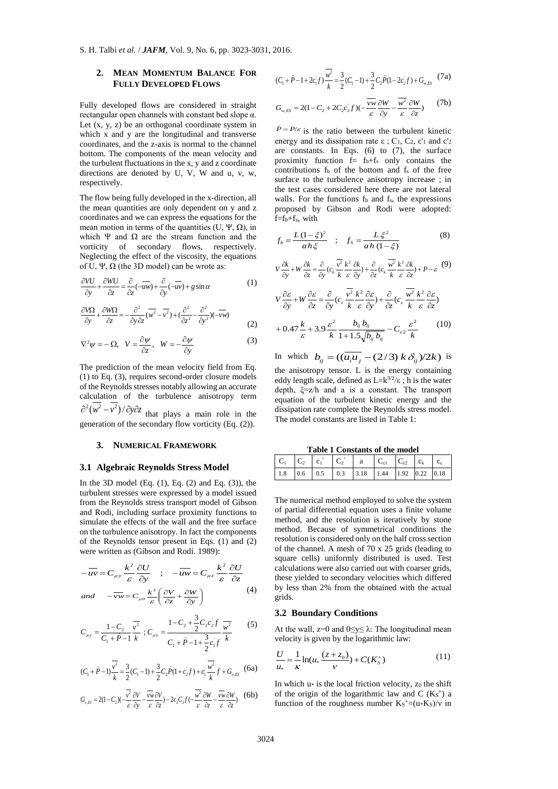## **2. MEAN MOMENTUM BALANCE FOR FULLY DEVELOPED FLOWS**

Fully developed flows are considered in straight rectangular open channels with constant bed slope α. Let  $(x, y, z)$  be an orthogonal coordinate system in which x and y are the longitudinal and transverse coordinates, and the z-axis is normal to the channel bottom. The components of the mean velocity and the turbulent fluctuations in the x, y and z coordinate directions are denoted by U, V, W and u, v, w, respectively.

The flow being fully developed in the x-direction, all the mean quantities are only dependent on y and z coordinates and we can express the equations for the mean motion in terms of the quantities (U, Ψ, Ω), in which Ψ and  $\Omega$  are the stream function and the vorticity of secondary flows, respectively. Neglecting the effect of the viscosity, the equations of U, Ψ,  $\Omega$  (the 3D model) can be wrote as:

$$
\frac{\partial VU}{\partial y} + \frac{\partial WU}{\partial z} = \frac{\partial}{\partial z}(-\overline{u}\overline{w}) + \frac{\partial}{\partial y}(-\overline{w}) + g\sin\alpha
$$
 (1)

$$
\frac{\partial V\Omega}{\partial y} + \frac{\partial W\Omega}{\partial z} = -\frac{\partial^2}{\partial y \partial z} (\overline{w^2} - \overline{v^2}) + (\frac{\partial^2}{\partial z^2} - \frac{\partial^2}{\partial y^2})(-\overline{vw})
$$
(2)

$$
\nabla^2 \psi = -\Omega, \quad V = \frac{\partial \psi}{\partial z}, \quad W = -\frac{\partial \psi}{\partial y}
$$
 (3)

The prediction of the mean velocity field from Eq. (1) to Eq. (3), requires second-order closure models of the Reynolds stresses notably allowing an accurate calculation of the turbulence anisotropy term

 $\frac{\partial^2 (w^2 - v^2)}{\partial y \partial z}$  that plays a main role in the generation of the secondary flow vorticity (Eq. (2)).

#### **3. NUMERICAL FRAMEWORK**

#### **3.1 Algebraic Reynolds Stress Model**

In the 3D model (Eq.  $(1)$ , Eq.  $(2)$  and Eq.  $(3)$ ), the turbulent stresses were expressed by a model issued from the Reynolds stress transport model of Gibson and Rodi, including surface proximity functions to simulate the effects of the wall and the free surface on the turbulence anisotropy. In fact the components of the Reynolds tensor present in Eqs. (1) and (2) were written as (Gibson and Rodi. 1989):

$$
-\overline{uv} = C_{\mu y} \frac{k^2}{\varepsilon} \frac{\partial U}{\partial y} \quad ; \quad -\overline{uw} = C_{\mu z} \frac{k^2}{\varepsilon} \frac{\partial U}{\partial z}
$$
  
and 
$$
-\overline{vw} = C_{\mu 0} \frac{k^2}{\varepsilon} \left( \frac{\partial V}{\partial z} + \frac{\partial W}{\partial y} \right)
$$
(4)

$$
C_{\mu y} = \frac{1 - C_2}{C_1 + \hat{P} - 1} \frac{\overline{v^2}}{k} ; C_{\mu z} = \frac{1 - C_2 + \frac{3}{2} C_2 c_2 f}{C_1 + \hat{P} - 1 + \frac{3}{2} c_1 f} \frac{\overline{w^2}}{k}
$$
(5)

$$
(C_1 + \hat{P} - 1)\frac{\overline{v^2}}{k} = \frac{3}{2}(C_1 - 1) + \frac{3}{2}C_2\hat{P}(1 + c_2f) + c_1\frac{\overline{v^2}}{k}f + G_{v,ES}
$$
 (6a)

$$
G_{v,ES} = 2(1 - C_2)(-\frac{\overline{v^2}}{\varepsilon} \frac{\partial V}{\partial y} - \frac{\overline{vw}}{\varepsilon} \frac{\partial V}{\partial z}) - 2c_2 C_2 f(-\frac{\overline{w^2}}{\varepsilon} \frac{\partial W}{\partial z} - \frac{\overline{vw}}{\varepsilon} \frac{\partial W}{\partial z})
$$
 (6b)

$$
(C_1 + \hat{P} - 1 + 2c_1 f) \frac{\overline{w^2}}{k} = \frac{3}{2} (C_1 - 1) + \frac{3}{2} C_2 \hat{P} (1 - 2c_2 f) + G_{w, ES} \tag{7a}
$$

$$
G_{w,ES} = 2(1 - C_2 + 2C_2 c_2 f)(-\frac{\overline{vw}}{\varepsilon} \frac{\partial W}{\partial y} - \frac{\overline{w^2}}{\varepsilon} \frac{\partial W}{\partial z})
$$
 (7b)

 $\hat{P} = P/\varepsilon$  is the ratio between the turbulent kinetic energy and its dissipation rate  $\varepsilon$ ; C<sub>1</sub>, C<sub>2</sub>, c'<sub>1</sub> and c'<sub>2</sub> are constants. In Eqs.  $(6)$  to  $(7)$ , the surface proximity function  $\bar{f} = f_b + f_s$  only contains the contributions  $f_b$  of the bottom and  $f_s$  of the free surface to the turbulence anisotropy increase ; in the test cases considered here there are not lateral walls. For the functions  $f_b$  and  $f_s$ , the expressions proposed by Gibson and Rodi were adopted:  $f=f_b+f_s$ , with

$$
f_b = \frac{L(1-\xi)^2}{ah\xi} \quad ; \quad f_s = \frac{L\xi^2}{ah(1-\xi)} \tag{8}
$$

$$
V\frac{\partial k}{\partial y} + W\frac{\partial k}{\partial z} = \frac{\partial}{\partial y}(c_k \frac{\overline{v^2}}{k} \frac{k^2}{\varepsilon} \frac{\partial k}{\partial y}) + \frac{\partial}{\partial z}(c_k \frac{\overline{w^2}}{k} \frac{k^2}{\varepsilon} \frac{\partial k}{\partial z}) + P - \varepsilon
$$
 (9)

$$
V \frac{\partial \mathcal{E}}{\partial y} + W \frac{\partial \mathcal{E}}{\partial z} = \frac{\partial}{\partial y} (c_e \frac{\overline{v^2}}{k} \frac{k^2}{\varepsilon} \frac{\partial \mathcal{E}}{\partial y}) + \frac{\partial}{\partial z} (c_e \frac{\overline{w^2}}{k} \frac{k^2}{\varepsilon} \frac{\partial \mathcal{E}}{\partial z})
$$
  
+ 0.47  $\frac{k}{z}$  + 3.9  $\frac{\varepsilon^2}{z}$   $\frac{b_{ij} b_{ij}}{z}$   $- C_{\varepsilon^2} \frac{\varepsilon^2}{z}$  (10)

$$
+0.47 \frac{1}{\varepsilon} + 3.9 \frac{1}{k} \frac{1}{1+1.5\sqrt{b_{ij}b_{ij}}} - C_{\varepsilon 2} \frac{1}{k}
$$
  
In which  $b_{ij} = ((\overline{u_i u_j} - (2/3) k \delta_{ij})/2k)$  is

the anisotropy tensor. L is the energy containing eddy length scale, defined as  $L=k^{3/2}/\epsilon$ ; h is the water depth, ξ=z/h and a is a constant. The transport equation of the turbulent kinetic energy and the dissipation rate complete the Reynolds stress model. The model constants are listed in Table 1:

**Table 1 Constants of the model**

| тимпе т сопомним от ию пилист |  |  |  |  |                                                                                    |  |  |
|-------------------------------|--|--|--|--|------------------------------------------------------------------------------------|--|--|
|                               |  |  |  |  | $ C_1 C_2 C_1 C_2 a C_{\epsilon 1} C_{\epsilon 1} C_{\epsilon 2} c_k c_{\epsilon}$ |  |  |
|                               |  |  |  |  |                                                                                    |  |  |

The numerical method employed to solve the system of partial differential equation uses a finite volume method, and the resolution is iteratively by stone method. Because of symmetrical conditions the resolution is considered only on the half cross section of the channel. A mesh of 70 x 25 grids (leading to square cells) uniformly distributed is used. Test calculations were also carried out with coarser grids, these yielded to secondary velocities which differed by less than 2% from the obtained with the actual grids.

## **3.2 Boundary Conditions**

At the wall,  $z=0$  and  $0 \le y \le \lambda$ : The longitudinal mean velocity is given by the logarithmic law:

$$
\frac{U}{u_*} = \frac{1}{\kappa} \ln(u_* \frac{(z + z_0)}{\nu}) + C(K_s^+) \tag{11}
$$

In which  $u^*$  is the local friction velocity, z<sub>0</sub> the shift of the origin of the logarithmic law and  $C(Ks<sup>+</sup>)$  a function of the roughness number  $K_S^+ = (u \cdot K_S)/v$  in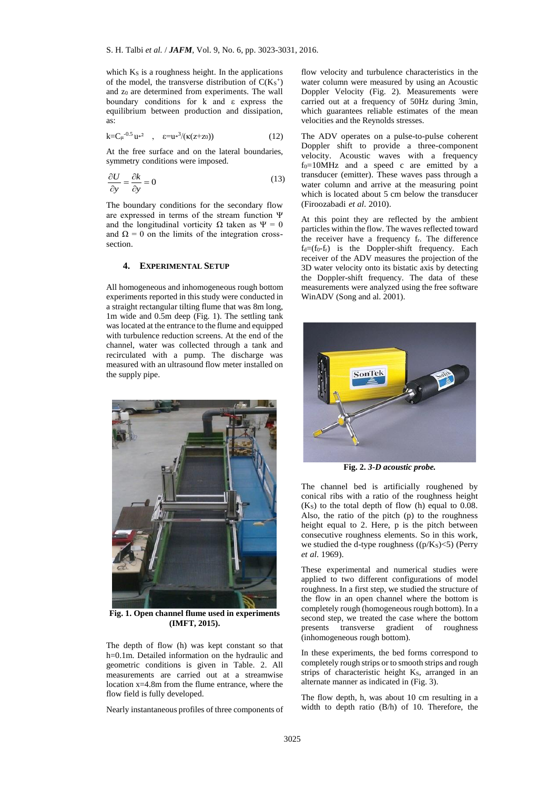which Ks is a roughness height. In the applications of the model, the transverse distribution of  $C(K<sub>S</sub><sup>+</sup>)$ and z<sup>0</sup> are determined from experiments. The wall boundary conditions for k and ε express the equilibrium between production and dissipation, as:

$$
k = C_{\mu}^{-0.5} u^{2} \quad , \quad \varepsilon = u^{3}/(\kappa(z+z_{0})) \tag{12}
$$

At the free surface and on the lateral boundaries, symmetry conditions were imposed.

$$
\frac{\partial U}{\partial y} = \frac{\partial k}{\partial y} = 0\tag{13}
$$

The boundary conditions for the secondary flow are expressed in terms of the stream function Ψ and the longitudinal vorticity  $\Omega$  taken as  $\Psi = 0$ and  $\Omega = 0$  on the limits of the integration crosssection.

## **4. EXPERIMENTAL SETUP**

All homogeneous and inhomogeneous rough bottom experiments reported in this study were conducted in a straight rectangular tilting flume that was 8m long, 1m wide and 0.5m deep (Fig. 1). The settling tank was located at the entrance to the flume and equipped with turbulence reduction screens. At the end of the channel, water was collected through a tank and recirculated with a pump. The discharge was measured with an ultrasound flow meter installed on the supply pipe.



**Fig. 1. Open channel flume used in experiments (IMFT, 2015).**

The depth of flow (h) was kept constant so that h=0.1m. Detailed information on the hydraulic and geometric conditions is given in Table. 2. All measurements are carried out at a streamwise location  $x=4.8$ m from the flume entrance, where the flow field is fully developed.

Nearly instantaneous profiles of three components of

flow velocity and turbulence characteristics in the water column were measured by using an Acoustic Doppler Velocity (Fig. 2). Measurements were carried out at a frequency of 50Hz during 3min, which guarantees reliable estimates of the mean velocities and the Reynolds stresses.

The ADV operates on a pulse-to-pulse coherent Doppler shift to provide a three-component velocity. Acoustic waves with a frequency  $f_0=10$ MHz and a speed c are emitted by a transducer (emitter). These waves pass through a water column and arrive at the measuring point which is located about 5 cm below the transducer (Firoozabadi *et al*. 2010).

At this point they are reflected by the ambient particles within the flow. The waves reflected toward the receiver have a frequency fr. The difference  $f_d=(f_0-f_r)$  is the Doppler-shift frequency. Each receiver of the ADV measures the projection of the 3D water velocity onto its bistatic axis by detecting the Doppler-shift frequency. The data of these measurements were analyzed using the free software WinADV (Song and al. 2001).



**Fig. 2.** *3-D acoustic probe.*

The channel bed is artificially roughened by conical ribs with a ratio of the roughness height  $(K<sub>S</sub>)$  to the total depth of flow (h) equal to 0.08. Also, the ratio of the pitch (p) to the roughness height equal to 2. Here, p is the pitch between consecutive roughness elements. So in this work, we studied the d-type roughness  $((p/K_S) < 5)$  (Perry *et al*. 1969).

These experimental and numerical studies were applied to two different configurations of model roughness. In a first step, we studied the structure of the flow in an open channel where the bottom is completely rough (homogeneous rough bottom). In a second step, we treated the case where the bottom presents transverse gradient of roughness (inhomogeneous rough bottom).

In these experiments, the bed forms correspond to completely rough strips or to smooth strips and rough strips of characteristic height K<sub>S</sub>, arranged in an alternate manner as indicated in (Fig. 3).

The flow depth, h, was about 10 cm resulting in a width to depth ratio (B/h) of 10. Therefore, the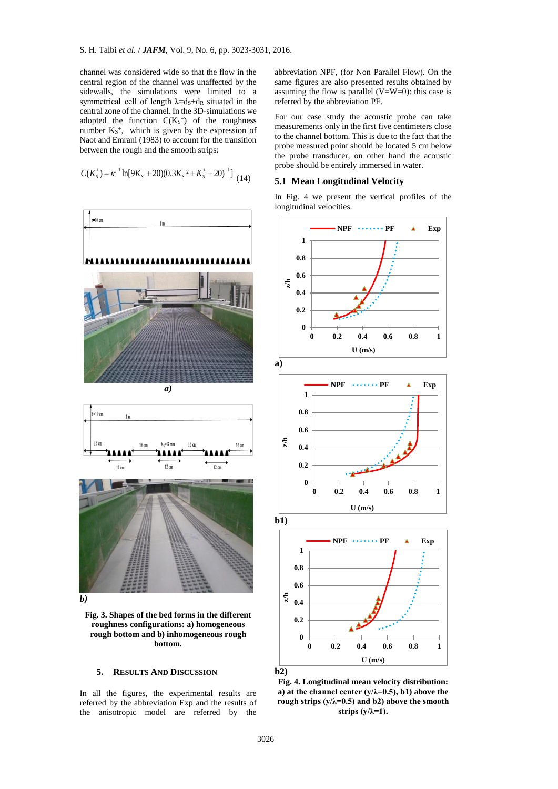channel was considered wide so that the flow in the central region of the channel was unaffected by the sidewalls, the simulations were limited to a symmetrical cell of length  $\lambda = ds + ds$  situated in the central zone of the channel. In the 3D-simulations we adopted the function  $C(Ks<sup>+</sup>)$  of the roughness number  $K_S^+$ , which is given by the expression of Naot and Emrani (1983) to account for the transition between the rough and the smooth strips:

$$
C(K_{S}^{+}) = \kappa^{-1} \ln[9K_{S}^{+} + 20(0.3K_{S}^{+2} + K_{S}^{+} + 20)^{-1}]
$$
 (14)



**Fig. 3. Shapes of the bed forms in the different roughness configurations: a) homogeneous rough bottom and b) inhomogeneous rough bottom.**

### **5. RESULTS AND DISCUSSION**

In all the figures, the experimental results are referred by the abbreviation Exp and the results of the anisotropic model are referred by the

abbreviation NPF, (for Non Parallel Flow). On the same figures are also presented results obtained by assuming the flow is parallel  $(V=W=0)$ : this case is referred by the abbreviation PF.

For our case study the acoustic probe can take measurements only in the first five centimeters close to the channel bottom. This is due to the fact that the probe measured point should be located 5 cm below the probe transducer, on other hand the acoustic probe should be entirely immersed in water.

#### **5.1 Mean Longitudinal Velocity**

In Fig. 4 we present the vertical profiles of the longitudinal velocities.



**b2)**

**Fig. 4. Longitudinal mean velocity distribution:**  a) at the channel center  $(y/\lambda=0.5)$ , b1) above the **rough strips (y/λ=0.5) and b2) above the smooth strips (y/λ=1).**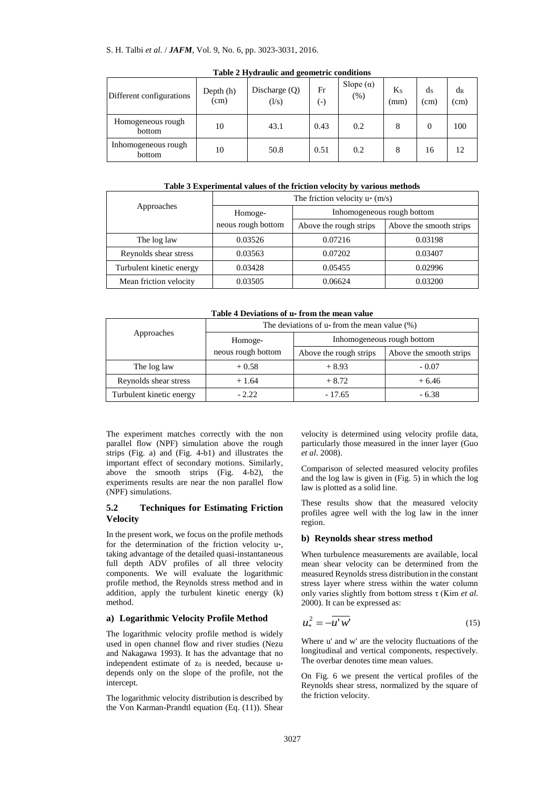#### S. H. Talbi *et al.* / *JAFM*, Vol. 9, No. 6, pp. 3023-3031, 2016.

| Different configurations      | Depth (h)<br>(cm) | Discharge $(Q)$<br>(1/s) | Fr<br>$(\text{-})$ | Slope $(\alpha)$<br>(% ) | $K_{S}$<br>(mm) | ds<br>(c <sub>m</sub> ) | $d_{R}$<br>(cm) |
|-------------------------------|-------------------|--------------------------|--------------------|--------------------------|-----------------|-------------------------|-----------------|
| Homogeneous rough<br>bottom   | 10                | 43.1                     | 0.43               | 0.2                      | 8               | 0                       | 100             |
| Inhomogeneous rough<br>bottom | 10                | 50.8                     | 0.51               | 0.2                      | 8               | 16                      | 12              |

**Table 2 Hydraulic and geometric conditions**

#### **Table 3 Experimental values of the friction velocity by various methods**

|                          | The friction velocity $u*(m/s)$ |                            |                         |  |  |  |
|--------------------------|---------------------------------|----------------------------|-------------------------|--|--|--|
| Approaches               | Homoge-                         | Inhomogeneous rough bottom |                         |  |  |  |
|                          | neous rough bottom              | Above the rough strips     | Above the smooth strips |  |  |  |
| The log law              | 0.03526                         | 0.07216                    | 0.03198                 |  |  |  |
| Reynolds shear stress    | 0.03563                         | 0.07202                    | 0.03407                 |  |  |  |
| Turbulent kinetic energy | 0.03428                         | 0.05455                    | 0.02996                 |  |  |  |
| Mean friction velocity   | 0.03505                         | 0.06624                    | 0.03200                 |  |  |  |

**Table 4 Deviations of u\* from the mean value**

|                          | The deviations of $u$ <sup>*</sup> from the mean value $(\%)$ |                            |                         |  |  |
|--------------------------|---------------------------------------------------------------|----------------------------|-------------------------|--|--|
| Approaches               | Homoge-                                                       | Inhomogeneous rough bottom |                         |  |  |
|                          | neous rough bottom                                            | Above the rough strips     | Above the smooth strips |  |  |
| The log law              | $+0.58$                                                       | $+8.93$                    | $-0.07$                 |  |  |
| Reynolds shear stress    | $+1.64$                                                       | $+8.72$                    | $+6.46$                 |  |  |
| Turbulent kinetic energy | $-2.22$                                                       | $-17.65$                   | $-6.38$                 |  |  |

The experiment matches correctly with the non parallel flow (NPF) simulation above the rough strips (Fig. a) and (Fig. 4-b1) and illustrates the important effect of secondary motions. Similarly, above the smooth strips (Fig. 4-b2), the experiments results are near the non parallel flow (NPF) simulations.

## **5.2 Techniques for Estimating Friction Velocity**

In the present work, we focus on the profile methods for the determination of the friction velocity u\*, taking advantage of the detailed quasi-instantaneous full depth ADV profiles of all three velocity components. We will evaluate the logarithmic profile method, the Reynolds stress method and in addition, apply the turbulent kinetic energy (k) method.

### **a) Logarithmic Velocity Profile Method**

The logarithmic velocity profile method is widely used in open channel flow and river studies (Nezu and Nakagawa 1993). It has the advantage that no independent estimate of  $z_0$  is needed, because  $u^*$ depends only on the slope of the profile, not the intercept.

The logarithmic velocity distribution is described by the Von Karman-Prandtl equation (Eq. (11)). Shear velocity is determined using velocity profile data, particularly those measured in the inner layer (Guo *et al*. 2008).

Comparison of selected measured velocity profiles and the log law is given in (Fig. 5) in which the log law is plotted as a solid line.

These results show that the measured velocity profiles agree well with the log law in the inner region.

#### **b) Reynolds shear stress method**

When turbulence measurements are available, local mean shear velocity can be determined from the measured Reynolds stress distribution in the constant stress layer where stress within the water column only varies slightly from bottom stress τ (Kim *et al*. 2000). It can be expressed as:

$$
u^2_* = -\overline{u'w'}\tag{15}
$$

Where u' and w' are the velocity fluctuations of the longitudinal and vertical components, respectively. The overbar denotes time mean values.

On Fig. 6 we present the vertical profiles of the Reynolds shear stress, normalized by the square of the friction velocity.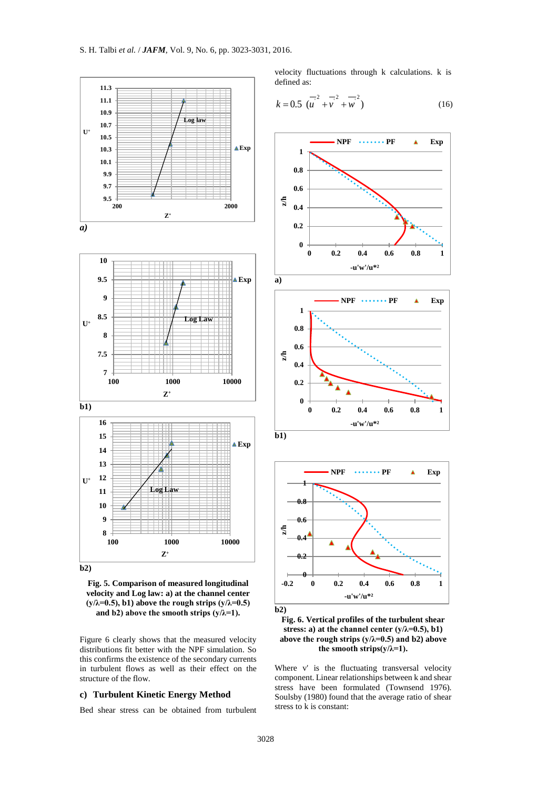

**Fig. 5. Comparison of measured longitudinal velocity and Log law: a) at the channel center**   $(y/\lambda=0.5)$ , b1) above the rough strips  $(y/\lambda=0.5)$ and b2) above the smooth strips  $(y/\lambda=1)$ .

Figure 6 clearly shows that the measured velocity distributions fit better with the NPF simulation. So this confirms the existence of the secondary currents in turbulent flows as well as their effect on the structure of the flow.

## **c) Turbulent Kinetic Energy Method**

Bed shear stress can be obtained from turbulent

velocity fluctuations through k calculations. k is defined as:

$$
k = 0.5 \, \overline{\left(u^2 + v^2 + w^2\right)} \tag{16}
$$





**Fig. 6. Vertical profiles of the turbulent shear stress: a) at the channel center (y/λ=0.5), b1) above the rough strips (y/λ=0.5) and b2) above the smooth strips(y/λ=1).**

Where v' is the fluctuating transversal velocity component. Linear relationships between k and shear stress have been formulated (Townsend 1976). Soulsby (1980) found that the average ratio of shear stress to k is constant: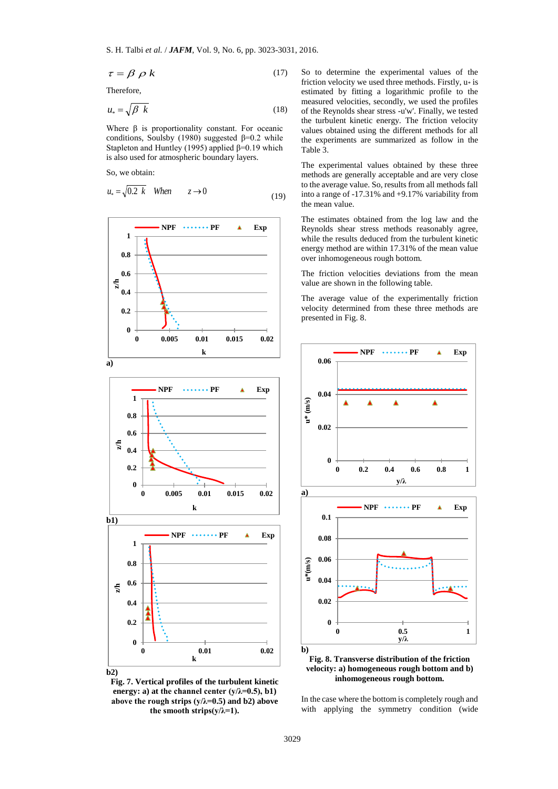$$
\tau = \beta \, \rho \, k \tag{17}
$$

Therefore,

$$
u_* = \sqrt{\beta \ k} \tag{18}
$$

Where  $\beta$  is proportionality constant. For oceanic conditions, Soulsby (1980) suggested  $\beta$ =0.2 while Stapleton and Huntley (1995) applied  $\beta$ =0.19 which is also used for atmospheric boundary layers.

So, we obtain:

$$
u_* = \sqrt{0.2 \ k} \quad When \qquad z \to 0 \tag{19}
$$







So to determine the experimental values of the friction velocity we used three methods. Firstly,  $u^*$  is estimated by fitting a logarithmic profile to the measured velocities, secondly, we used the profiles of the Reynolds shear stress -u'w'. Finally, we tested the turbulent kinetic energy. The friction velocity values obtained using the different methods for all the experiments are summarized as follow in the Table 3.

The experimental values obtained by these three methods are generally acceptable and are very close to the average value. So, results from all methods fall into a range of -17.31% and +9.17% variability from the mean value.

The estimates obtained from the log law and the Reynolds shear stress methods reasonably agree, while the results deduced from the turbulent kinetic energy method are within 17.31% of the mean value over inhomogeneous rough bottom.

The friction velocities deviations from the mean value are shown in the following table.

The average value of the experimentally friction velocity determined from these three methods are presented in Fig. 8.



**velocity: a) homogeneous rough bottom and b) inhomogeneous rough bottom.**

In the case where the bottom is completely rough and with applying the symmetry condition (wide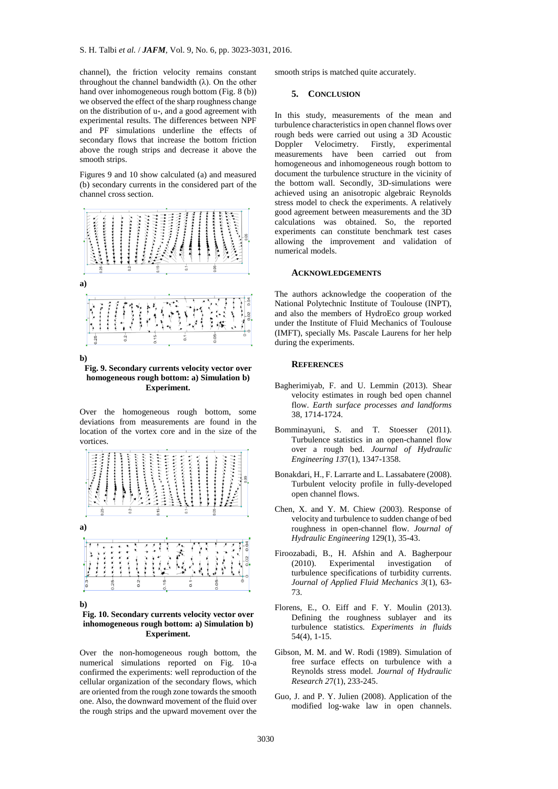channel), the friction velocity remains constant throughout the channel bandwidth (λ). On the other hand over inhomogeneous rough bottom (Fig. 8 (b)) we observed the effect of the sharp roughness change on the distribution of u\*, and a good agreement with experimental results. The differences between NPF and PF simulations underline the effects of secondary flows that increase the bottom friction above the rough strips and decrease it above the smooth strips.

Figures 9 and 10 show calculated (a) and measured (b) secondary currents in the considered part of the channel cross section.



**b)**

#### **Fig. 9. Secondary currents velocity vector over homogeneous rough bottom: a) Simulation b) Experiment.**

Over the homogeneous rough bottom, some deviations from measurements are found in the location of the vortex core and in the size of the vortices.



**b)**

#### **Fig. 10. Secondary currents velocity vector over inhomogeneous rough bottom: a) Simulation b) Experiment.**

Over the non-homogeneous rough bottom, the numerical simulations reported on Fig. 10-a confirmed the experiments: well reproduction of the cellular organization of the secondary flows, which are oriented from the rough zone towards the smooth one. Also, the downward movement of the fluid over the rough strips and the upward movement over the

smooth strips is matched quite accurately.

#### **5. CONCLUSION**

In this study, measurements of the mean and turbulence characteristics in open channel flows over rough beds were carried out using a 3D Acoustic Doppler Velocimetry. Firstly, experimental measurements have been carried out from homogeneous and inhomogeneous rough bottom to document the turbulence structure in the vicinity of the bottom wall. Secondly, 3D-simulations were achieved using an anisotropic algebraic Reynolds stress model to check the experiments. A relatively good agreement between measurements and the 3D calculations was obtained. So, the reported experiments can constitute benchmark test cases allowing the improvement and validation of numerical models.

#### **ACKNOWLEDGEMENTS**

The authors acknowledge the cooperation of the National Polytechnic Institute of Toulouse (INPT), and also the members of HydroEco group worked under the Institute of Fluid Mechanics of Toulouse (IMFT), specially Ms. Pascale Laurens for her help during the experiments.

### **REFERENCES**

- Bagherimiyab, F. and U. Lemmin (2013). Shear velocity estimates in rough bed open channel flow. *Earth surface processes and landforms* 38, 1714-1724.
- Bomminayuni, S. and T. Stoesser (2011). Turbulence statistics in an open-channel flow over a rough bed. *Journal of Hydraulic Engineering 13*7(1), 1347-1358.
- Bonakdari, H., F. Larrarte and L. Lassabatere (2008). Turbulent velocity profile in fully-developed open channel flows.
- Chen, X. and Y. M. Chiew (2003). Response of velocity and turbulence to sudden change of bed roughness in open-channel flow. *Journal of Hydraulic Engineering* 129(1), 35-43.
- Firoozabadi, B., H. Afshin and A. Bagherpour (2010). Experimental investigation of turbulence specifications of turbidity currents. *Journal of Applied Fluid Mechanics 3*(1), 63- 73.
- Florens, E., O. Eiff and F. Y. Moulin (2013). Defining the roughness sublayer and its turbulence statistics. *Experiments in fluids* 54(4), 1-15.
- Gibson, M. M. and W. Rodi (1989). Simulation of free surface effects on turbulence with a Reynolds stress model. *Journal of Hydraulic Research 2*7(1), 233-245.
- Guo, J. and P. Y. Julien (2008). Application of the modified log-wake law in open channels.